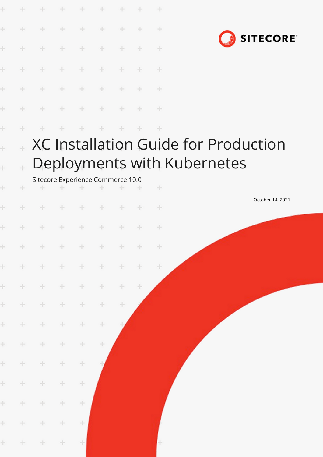|                      |              | ÷                                       | $+$                                                                | ÷      | ÷             | $\sim$     |        | $+$ |                                             |  |
|----------------------|--------------|-----------------------------------------|--------------------------------------------------------------------|--------|---------------|------------|--------|-----|---------------------------------------------|--|
| ÷                    | ÷            | ÷                                       | $+$                                                                | ÷      | ÷             | ÷          | ÷      | $+$ |                                             |  |
|                      | ÷            | ÷                                       | $\oplus$                                                           | ÷      | ÷             | ÷          |        | ÷   | <b>SITECORE</b>                             |  |
|                      | ÷            | $+$                                     | $\pm$                                                              | $+$    | $+$           | $+$        | $+$    | $+$ |                                             |  |
|                      | ÷.           | $+$                                     | $\pm$                                                              | $+$    | $+$           | $+$        | $+$    | $+$ |                                             |  |
| ÷                    | ÷            | ÷                                       | $+$                                                                | $+$    | $\rightarrow$ | $\pm$      | $+$    | $+$ |                                             |  |
| ÷                    | ÷            | ÷                                       | $+$                                                                | ÷.     | $\pm$         | $+$        | ÷.     | $+$ |                                             |  |
| į.                   |              |                                         |                                                                    |        |               |            |        |     | <b>XC Installation Guide for Production</b> |  |
| $\ddot{\phantom{0}}$ | ÷            |                                         |                                                                    |        |               |            |        |     | Deployments with Kubernetes                 |  |
| ÷                    | ÷            | Sitecore Experience Commerce 10.0<br>÷. | $\begin{array}{ccccccccccccccccc} + & & + & & + & & & \end{array}$ |        | $+$           | $+$        | $-+$   | $+$ |                                             |  |
|                      |              | $+$                                     | $+$                                                                | $+$    | $-+$          | $+$        | $\sim$ | $+$ | October 14, 2021                            |  |
| ÷                    |              |                                         | $\rightarrow$                                                      | $\pm$  | $+$           | $\pm$      | ÷      | $+$ |                                             |  |
| ÷.                   | $+$          | $+$                                     | $+$                                                                | $+$    | $+$           | $+$        | $+$    | $+$ |                                             |  |
|                      |              |                                         |                                                                    |        |               |            |        |     |                                             |  |
| ÷                    | $\pm$        | $+$                                     | $+$                                                                | $+$    | $+$           | $+$        | ÷      | ÷   |                                             |  |
| $\pm$<br>$\pm$       | $\pm$<br>$+$ | $+$<br>$\pm$                            | $+$<br>$+$                                                         | ÷<br>÷ | ÷<br>$\div$   | $\pm$<br>÷ | ÷      |     |                                             |  |
|                      |              |                                         |                                                                    |        |               |            |        |     |                                             |  |
| $\pm$                | $\div$       | $\div$                                  | $\pm$                                                              | ÷      | ÷             |            |        |     |                                             |  |
| $\pm$                | $\div$       | $\div$                                  | ÷                                                                  | $+$    | ÷             |            |        |     |                                             |  |
| $\pm$                | ÷            | $\div$                                  | $\div$                                                             | $\div$ |               |            |        |     |                                             |  |
| $\pm$                | $\div$       | $\pm$                                   | ÷                                                                  | ÷      |               |            |        |     |                                             |  |
| ÷                    | $\pm$        | $\pm$                                   | $\pm$                                                              | ÷      |               |            |        |     |                                             |  |
| ÷                    | $+$          | ÷                                       | ÷.                                                                 | ÷      |               |            |        |     |                                             |  |
| $\pm$                | $+$          | $\div$                                  | $\pm$                                                              | $\pm$  |               |            |        |     |                                             |  |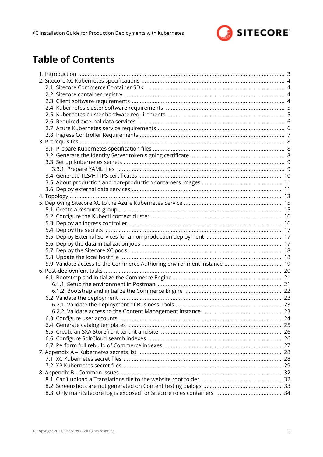

# **Table of Contents**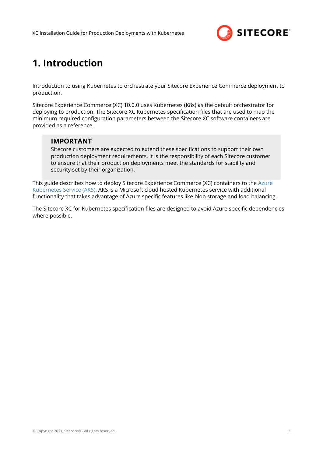

# <span id="page-2-0"></span>**1. Introduction**

Introduction to using Kubernetes to orchestrate your Sitecore Experience Commerce deployment to production.

Sitecore Experience Commerce (XC) 10.0.0 uses Kubernetes (K8s) as the default orchestrator for deploying to production. The Sitecore XC Kubernetes specification files that are used to map the minimum required configuration parameters between the Sitecore XC software containers are provided as a reference.

#### **IMPORTANT**

Sitecore customers are expected to extend these specifications to support their own production deployment requirements. It is the responsibility of each Sitecore customer to ensure that their production deployments meet the standards for stability and security set by their organization.

This guide describes how to deploy Sitecore Experience Commerce (XC) containers to the [Azure](https://docs.microsoft.com/en-us/azure/aks/intro-kubernetes) [Kubernetes Service \(AKS\).](https://docs.microsoft.com/en-us/azure/aks/intro-kubernetes) AKS is a Microsoft cloud hosted Kubernetes service with additional functionality that takes advantage of Azure specific features like blob storage and load balancing.

The Sitecore XC for Kubernetes specification files are designed to avoid Azure specific dependencies where possible.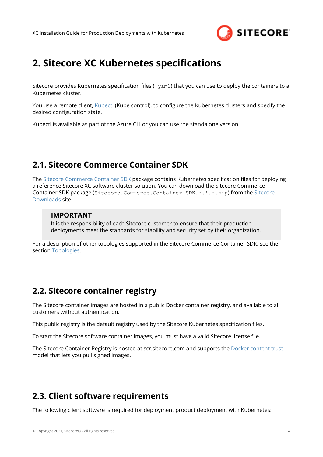

# <span id="page-3-0"></span>**2. Sitecore XC Kubernetes specifications**

Sitecore provides Kubernetes specification files (.  $yam1$ ) that you can use to deploy the containers to a Kubernetes cluster.

You use a remote client, [Kubectl](https://kubernetes.io/docs/reference/kubectl/overview/) (Kube control), to configure the Kubernetes clusters and specify the desired configuration state.

Kubectl is available as part of the Azure CLI or you can use the standalone version.

## **2.1. Sitecore Commerce Container SDK**

The [Sitecore Commerce Container SDK](https://doc.sitecore.com/developers/100/sitecore-experience-commerce/en/sitecore-commerce-container-sdk.html) package contains Kubernetes specification files for deploying a reference Sitecore XC software cluster solution. You can download the Sitecore Commerce Container SDK package (Sitecore.Commerce.Container.SDK.\*.\*.\*.zip) from the [Sitecore](https://dev.sitecore.net/Downloads/Sitecore_Commerce/100/Sitecore_Experience_Commerce_100.aspx) [Downloads](https://dev.sitecore.net/Downloads/Sitecore_Commerce/100/Sitecore_Experience_Commerce_100.aspx) site.

#### **IMPORTANT**

It is the responsibility of each Sitecore customer to ensure that their production deployments meet the standards for stability and security set by their organization.

For a description of other topologies supported in the Sitecore Commerce Container SDK, see the section [Topologies.](#page-12-0)

## **2.2. Sitecore container registry**

The Sitecore container images are hosted in a public Docker container registry, and available to all customers without authentication.

This public registry is the default registry used by the Sitecore Kubernetes specification files.

To start the Sitecore software container images, you must have a valid Sitecore license file.

The Sitecore Container Registry is hosted at scr.sitecore.com and supports the [Docker content trust](https://docs.docker.com/engine/security/trust/content_trust/) model that lets you pull signed images.

## **2.3. Client software requirements**

The following client software is required for deployment product deployment with Kubernetes: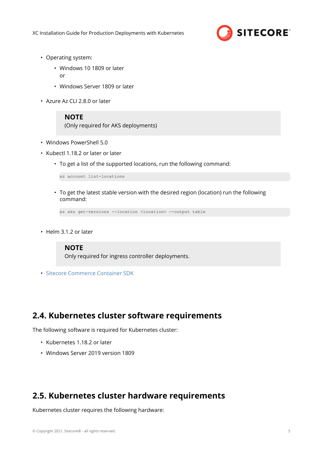

- <span id="page-4-0"></span>• Operating system:
	- Windows 10 1809 or later

or

- Windows Server 1809 or later
- Azure Az CLI 2.8.0 or later

#### **NOTE**

(Only required for AKS deployments)

- Windows PowerShell 5.0
- Kubectl 1.18.2 or later or later
	- To get a list of the supported locations, run the following command:

az account list-locations

• To get the latest stable version with the desired region (location) run the following command:

```
az aks get-versions --location <location> --output table
```
• Helm 3.1.2 or later

#### **NOTE**

Only required for ingress controller deployments.

• [Sitecore Commerce Container SDK](https://dev.sitecore.net/Downloads/Sitecore_Commerce/100/Sitecore_Experience_Commerce_100.aspx)

### **2.4. Kubernetes cluster software requirements**

The following software is required for Kubernetes cluster:

- Kubernetes 1.18.2 or later
- Windows Server 2019 version 1809

# **2.5. Kubernetes cluster hardware requirements**

Kubernetes cluster requires the following hardware: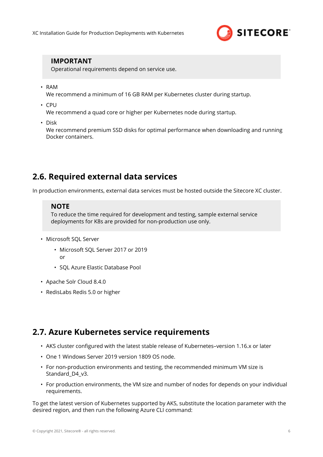

#### <span id="page-5-0"></span>**IMPORTANT**

Operational requirements depend on service use.

• RAM

We recommend a minimum of 16 GB RAM per Kubernetes cluster during startup.

• CPU

We recommend a quad core or higher per Kubernetes node during startup.

• Disk

We recommend premium SSD disks for optimal performance when downloading and running Docker containers.

## **2.6. Required external data services**

In production environments, external data services must be hosted outside the Sitecore XC cluster.

#### **NOTE**

To reduce the time required for development and testing, sample external service deployments for K8s are provided for non-production use only.

- Microsoft SQL Server
	- Microsoft SQL Server 2017 or 2019 or
	- SQL Azure Elastic Database Pool
- Apache Solr Cloud 8.4.0
- RedisLabs Redis 5.0 or higher

## **2.7. Azure Kubernetes service requirements**

- AKS cluster configured with the latest stable release of Kubernetes-version 1.16.x or later
- One 1 Windows Server 2019 version 1809 OS node.
- For non-production environments and testing, the recommended minimum VM size is Standard D4 v3.
- For production environments, the VM size and number of nodes for depends on your individual requirements.

To get the latest version of Kubernetes supported by AKS, substitute the location parameter with the desired region, and then run the following Azure CLI command: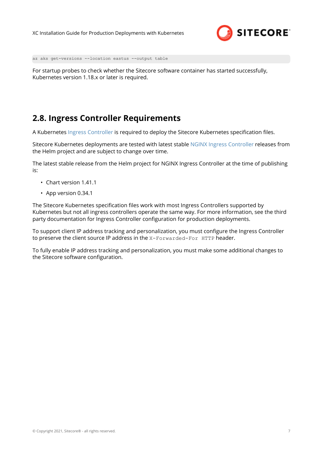

<span id="page-6-0"></span>az aks get-versions --location eastus --output table

For startup probes to check whether the Sitecore software container has started successfully, Kubernetes version 1.18.x or later is required.

## **2.8. Ingress Controller Requirements**

A Kubernetes [Ingress Controller](https://kubernetes.io/docs/concepts/services-networking/ingress-controllers/) is required to deploy the Sitecore Kubernetes specification files.

Sitecore Kubernetes deployments are tested with latest stable [NGINX Ingress Controller](https://github.com/helm/charts/tree/master/stable/nginx-ingress) releases from the Helm project and are subject to change over time.

The latest stable release from the Helm project for NGINX Ingress Controller at the time of publishing is:

- Chart version 1.41.1
- App version 0.34.1

The Sitecore Kubernetes specification files work with most Ingress Controllers supported by Kubernetes but not all ingress controllers operate the same way. For more information, see the third party documentation for Ingress Controller configuration for production deployments.

To support client IP address tracking and personalization, you must configure the Ingress Controller to preserve the client source IP address in the X-Forwarded-For HTTP header.

To fully enable IP address tracking and personalization, you must make some additional changes to the Sitecore software configuration.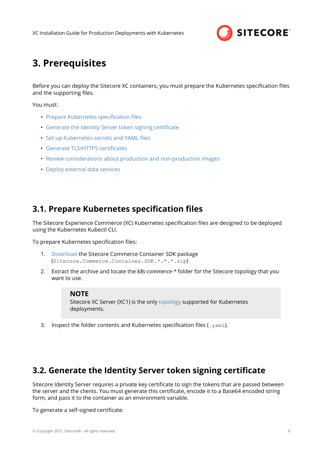

# <span id="page-7-0"></span>**3. Prerequisites**

Before you can deploy the Sitecore XC containers, you must prepare the Kubernetes specification files and the supporting files.

You must:

- Prepare Kubernetes specification files
- Generate the Identity Server token signing certificate
- Set up Kubernetes secrets and YAML files
- Generate TLS/HTTPS certificates
- [Review considerations about production and non-production images](#page-10-0)
- [Deploy external data services](#page-10-0)

## **3.1. Prepare Kubernetes specification files**

The Sitecore Experience Commerce (XC) Kubernetes specification files are designed to be deployed using the Kubernetes Kubectl CLI.

To prepare Kubernetes specification files:

- 1. [Download](https://dev.sitecore.net/Downloads/Sitecore_Commerce/100/Sitecore_Experience_Commerce_100.aspx) the Sitecore Commerce Container SDK package (Sitecore.Commerce.Container.SDK.\*.\*.\*.zip)
- 2. Extract the archive and locate the *k8s-commerce-\** folder for the Sitecore topology that you want to use.

#### **NOTE**

Sitecore XC Server (XC1) is the only [topology](#page-12-0) supported for Kubernetes deployments.

3. Inspect the folder contents and Kubernetes specification files (.  $yam1$ ).

### **3.2. Generate the Identity Server token signing certificate**

Sitecore Identity Server requires a private key certificate to sign the tokens that are passed between the server and the clients. You must generate this certificate, encode it to a Base64 encoded string form, and pass it to the container as an environment variable.

To generate a self-signed certificate: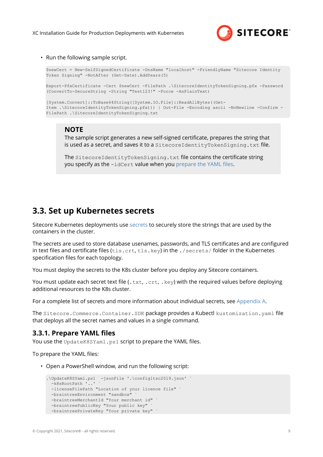

<span id="page-8-0"></span>• Run the following sample script.

```
$newCert = New-SelfSignedCertificate -DnsName "localhost" -FriendlyName "Sitecore Identity 
Token Signing" -NotAfter (Get-Date).AddYears(5)
Export-PfxCertificate -Cert $newCert -FilePath .\SitecoreIdentityTokenSigning.pfx -Password
(ConvertTo-SecureString -String "Test123!" -Force -AsPlainText)
[System.Convert]::ToBase64String([System.IO.File]::ReadAllBytes((Get-
Item .\SitecoreIdentityTokenSigning.pfx))) | Out-File -Encoding ascii -NoNewline -Confirm -
FilePath .\SitecoreIdentityTokenSigning.txt
```
#### **NOTE**

The sample script generates a new self-signed certificate, prepares the string that is used as a secret, and saves it to a SitecoreIdentityTokenSigning.txt file.

The SitecoreIdentityTokenSigning.txt file contains the certificate string you specify as the -idCert value when you prepare the YAML files.

#### **3.3. Set up Kubernetes secrets**

Sitecore Kubernetes deployments use [secrets](https://kubernetes.io/docs/concepts/configuration/secret/) to securely store the strings that are used by the containers in the cluster.

The secrets are used to store database usenames, passwords, and TLS certificates and are configured in text files and certificate files (tls.crt, tls.key) in the ./secrets/ folder in the Kubernetes specification files for each topology.

You must deploy the secrets to the K8s cluster before you deploy any Sitecore containers.

You must update each secret text file (.txt, .crt, .key) with the required values before deploying additional resources to the K8s cluster.

For a complete list of secrets and more information about individual secrets, see [Appendix A.](#page-27-0)

The Sitecore.Commerce.Container.SDK package provides a Kubectl kustomization.yaml file that deploys all the secret names and values in a single command.

#### **3.3.1. Prepare YAML files**

You use the UpdateK8SYaml.ps1 script to prepare the YAML files.

To prepare the YAML files:

• Open a PowerShell window, and run the following script:

```
.\UpdateK8SYaml.ps1 -jsonFile '.\configltsc2019.json' ` 
  -k8sRootPath '..'
  -licenseFilePath "Location of your licence file" `
  -braintreeEnvironment "sandbox"
 -braintreeMerchantId "Your merchant id"
  -braintreePublicKey "Your public key"
   -braintreePrivateKey "Your private key" `
```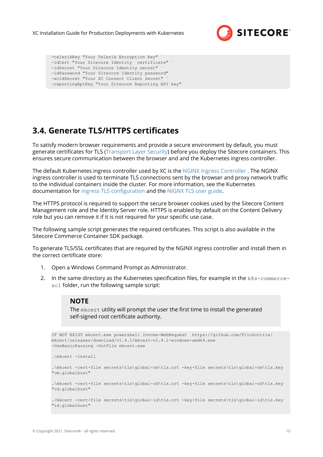

```
 -telerikKey "Your Telerik Encryption Key" `
 -idCert "Your Sitecore Identity certificate" `
-idSecret "Your Sitecore Identity secret"
 -idPassword "Your Sitecore Identity password" `
-xcIdSecret "Your XC Connect Client Secret"
 -reportingApiKey "Your Sitecore Reporting API key"
```
# **3.4. Generate TLS/HTTPS certificates**

To satisfy modern browser requirements and provide a secure environment by default, you must generate certificates for TLS [\(Transport Layer Security](https://en.wikipedia.org/wiki/Transport_Layer_Security)) before you deploy the Sitecore containers. This ensures secure communication between the browser and and the Kubernetes ingress controller.

The default Kubernetes ingress controller used by XC is the [NGINX Ingress Controller](https://www.nginx.com/products/nginx/kubernetes-ingress-controller/) . The NGINX ingress controller is used to terminate TLS connections sent by the browser and proxy network traffic to the individual containers inside the cluster. For more information, see the Kubernetes documentation for ingress TLS configuration and the [NIGNX TLS user guide.](https://kubernetes.github.io/ingress-nginx/user-guide/tls/)

The HTTPS protocol is required to support the secure browser cookies used by the Sitecore Content Management role and the Identity Server role. HTTPS is enabled by default on the Content Delivery role but you can remove it if it is not required for your specific use case.

The following sample script generates the required certificates. This script is also available in the Sitecore Commerce Container SDK package.

To generate TLS/SSL certificates that are required by the NGINX ingress controller and install them in the correct certificate store:

- 1. Open a Windows Command Prompt as Administrator.
- 2. In the same directory as the Kubernetes specification files, for example in the  $k8s$ -commercexc1 folder, run the following sample script:

#### **NOTE**

The mkcert utility will prompt the user the first time to install the generated self-signed root certificate authority.

```
IF NOT EXIST mkcert.exe powershell Invoke-WebRequest https://github.com/FiloSottile/
mkcert/releases/download/v1.4.1/mkcert-v1.4.1-windows-amd64.exe
-UseBasicParsing -OutFile mkcert.exe
.\mkcert -install
.\mkcert -cert-file secrets\tls\global-cm\tls.crt -key-file secrets\tls\global-cm\tls.key 
"cm.globalhost"
.\mkcert -cert-file secrets\tls\global-cd\tls.crt -key-file secrets\tls\global-cd\tls.key 
"cd.globalhost"
./mkcert -cert-file secrets\tls\global-id\tls.crt -key-file secrets\tls\global-id\tls.key 
"id.globalhost"
```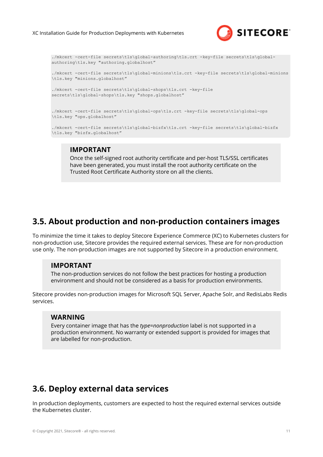

```
./mkcert -cert-file secrets\tls\global-authoring\tls.crt -key-file secrets\tls\global-
authoring\tls.key "authoring.globalhost"
./mkcert -cert-file secrets\tls\global-minions\tls.crt -key-file secrets\tls\global-minions
\tls.key "minions.globalhost"
./mkcert -cert-file secrets\tls\global-shops\tls.crt -key-file
secrets\tls\global-shops\tls.key "shops.globalhost"
./mkcert -cert-file secrets\tls\global-ops\tls.crt -key-file secrets\tls\global-ops
\tls.key "ops.globalhost"
./mkcert -cert-file secrets\tls\global-bizfx\tls.crt -key-file secrets\tls\global-bizfx
\tls.key "bizfx.globalhost"
```
#### **IMPORTANT**

Once the self-signed root authority certificate and per-host TLS/SSL certificates have been generated, you must install the root authority certificate on the Trusted Root Certificate Authority store on all the clients.

## **3.5. About production and non-production containers images**

To minimize the time it takes to deploy Sitecore Experience Commerce (XC) to Kubernetes clusters for non-production use, Sitecore provides the required external services. These are for non-production use only. The non-production images are not supported by Sitecore in a production environment.

#### **IMPORTANT**

The non-production services do not follow the best practices for hosting a production environment and should not be considered as a basis for production environments.

Sitecore provides non-production images for Microsoft SQL Server, Apache Solr, and RedisLabs Redis services.

#### **WARNING**

Every container image that has the *type=nonproduction* label is not supported in a production environment. No warranty or extended support is provided for images that are labelled for non-production.

# **3.6. Deploy external data services**

In production deployments, customers are expected to host the required external services outside the Kubernetes cluster.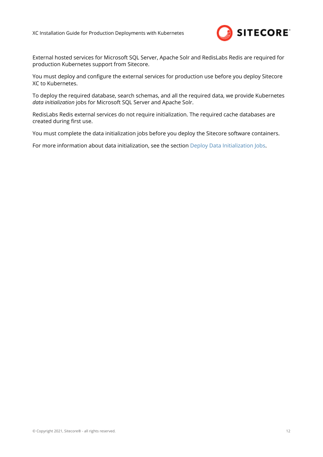

External hosted services for Microsoft SQL Server, Apache Solr and RedisLabs Redis are required for production Kubernetes support from Sitecore.

You must deploy and configure the external services for production use before you deploy Sitecore XC to Kubernetes.

To deploy the required database, search schemas, and all the required data, we provide Kubernetes *data initialization* jobs for Microsoft SQL Server and Apache Solr.

RedisLabs Redis external services do not require initialization. The required cache databases are created during first use.

You must complete the data initialization jobs before you deploy the Sitecore software containers.

For more information about data initialization, see the section [Deploy Data Initialization Jobs](#page-14-0).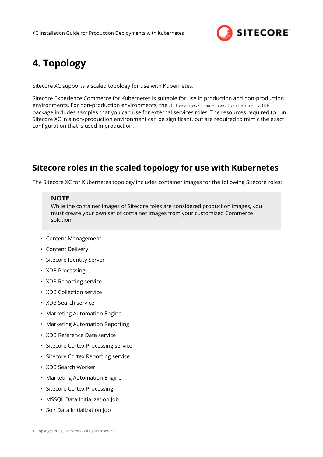

# <span id="page-12-0"></span>**4. Topology**

Sitecore XC supports a scaled topology for use with Kubernetes.

Sitecore Experience Commerce for Kubernetes is suitable for use in production and non-production environments. For non-production environments, the Sitecore.Commerce.Container.SDK package includes samples that you can use for external services roles. The resources required to run Sitecore XC in a non-production environment can be significant, but are required to mimic the exact configuration that is used in production.

## **Sitecore roles in the scaled topology for use with Kubernetes**

The Sitecore XC for Kubernetes topology includes container images for the following Sitecore roles:

#### **NOTE**

While the container images of Sitecore roles are considered production images, you must create your own set of container images from your customized Commerce solution.

- Content Management
- Content Delivery
- Sitecore Identity Server
- XDB Processing
- XDB Reporting service
- XDB Collection service
- XDB Search service
- Marketing Automation Engine
- Marketing Automation Reporting
- XDB Reference Data service
- Sitecore Cortex Processing service
- Sitecore Cortex Reporting service
- XDB Search Worker
- Marketing Automation Engine
- Sitecore Cortex Processing
- MSSQL Data Initialization Job
- Solr Data Initialization Job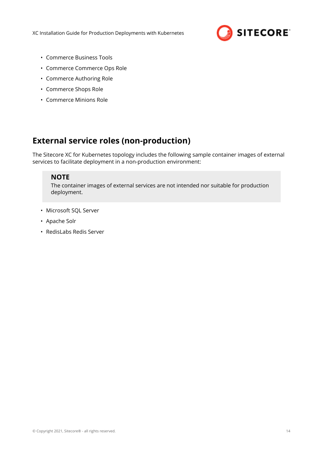

- Commerce Business Tools
- Commerce Commerce Ops Role
- Commerce Authoring Role
- Commerce Shops Role
- Commerce Minions Role

# **External service roles (non-production)**

The Sitecore XC for Kubernetes topology includes the following sample container images of external services to facilitate deployment in a non-production environment:

#### **NOTE**

The container images of external services are not intended nor suitable for production deployment.

- Microsoft SQL Server
- Apache Solr
- RedisLabs Redis Server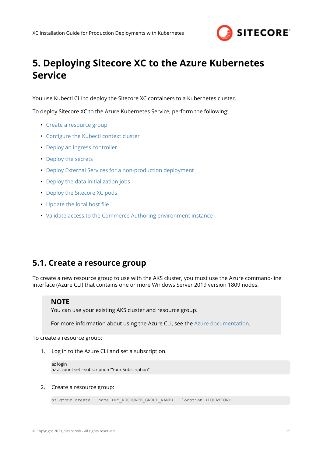

# <span id="page-14-0"></span>**5. Deploying Sitecore XC to the Azure Kubernetes Service**

You use Kubectl CLI to deploy the Sitecore XC containers to a Kubernetes cluster.

To deploy Sitecore XC to the Azure Kubernetes Service, perform the following:

- Create a resource group
- Configure the Kubectl context cluster
- [Deploy an ingress controller](#page-15-0)
- [Deploy the secrets](#page-16-0)
- [Deploy External Services for a non-production deployment](#page-16-0)
- [Deploy the data initialization jobs](#page-16-0)
- [Deploy the Sitecore XC pods](#page-17-0)
- Update the local host file
- [Validate access to the Commerce Authoring environment instance](#page-18-0)

## **5.1. Create a resource group**

To create a new resource group to use with the AKS cluster, you must use the Azure command-line interface (Azure CLI) that contains one or more Windows Server 2019 version 1809 nodes.

#### **NOTE**

You can use your existing AKS cluster and resource group.

For more information about using the Azure CLI, see the [Azure documentation](https://docs.microsoft.com/en-us/azure/aks/windows-container-cli).

To create a resource group:

1. Log in to the Azure CLI and set a subscription.

```
az login
az account set --subscription "Your Subscription"
```
#### 2. Create a resource group:

```
az group create --name <MY_RESOURCE_GROUP_NAME> --location <LOCATION>
```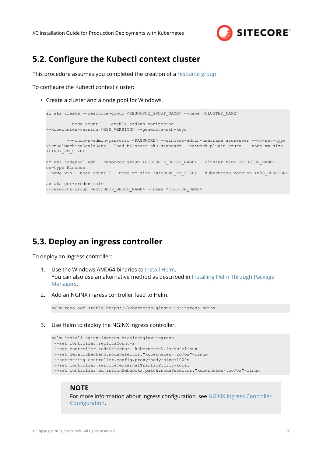

## <span id="page-15-0"></span>**5.2. Configure the Kubectl context cluster**

This procedure assumes you completed the creation of a [resource group.](https://docs.microsoft.com/en-us/azure/aks/windows-container-cli#create-a-resource-group)

To configure the Kubectl context cluster:

• Create a cluster and a node pool for Windows.

```
az aks create --resource-group <RESOURCE GROUP NAME> --name <CLUSTER NAME>
         --node-count 1 --enable-addons monitoring
--kubernetes-version <K8S VERSION> --generate-ssh-keys
        --windows-admin-password <PASSWORD> --windows-admin-username azureuser --vm-set-type
VirtualMachineScaleSets --load-balancer-sku standard --network-plugin azure --node-vm-size 
<LINUX_VM_SIZE>
az aks nodepool add --resource-group <RESOURCE GROUP NAME> --cluster-name <CLUSTER NAME> --
os-type Windows
--name win --node-count 1 --node-vm-size <WINDOWS VM_SIZE> --kubernetes-version <K8S_VERSION>
az aks get-credentials
--resource-group <RESOURCE_GROUP_NAME> --name <CLUSTER_NAME>
```
### **5.3. Deploy an ingress controller**

To deploy an ingress controller:

- 1. Use the Windows AMD64 binaries to [Install Helm](https://helm.sh/docs/intro/install/). You can also use an alternative method as described in [Installing Helm Through Package](https://helm.sh/docs/intro/install/) [Managers](https://helm.sh/docs/intro/install/).
- 2. Add an NGINX ingress controller feed to Helm.

```
helm repo add stable https://kubernetes.github.io/ingress-nginx
```
3. Use Helm to deploy the NGINX ingress controller.

```
helm install nginx-ingress stable/nginx-ingress
 --set controller.replicaCount=2
 --set controller.nodeSelector."kubernetes\.io/os"=linux
 --set defaultBackend.nodeSelector."kubernetes\.io/os"=linux
  --set-string controller.config.proxy-body-size=1000m
  --set controller.service.externalTrafficPolicy=Local
 --set controller.admissionWebhooks.patch.nodeSelector."kubernetes\.io/os"=linux
```
#### **NOTE**

For more information about ingress configuration, see [NGINX Ingress Controller](https://github.com/helm/charts/tree/master/stable/nginx-ingress#configuration) Configuration.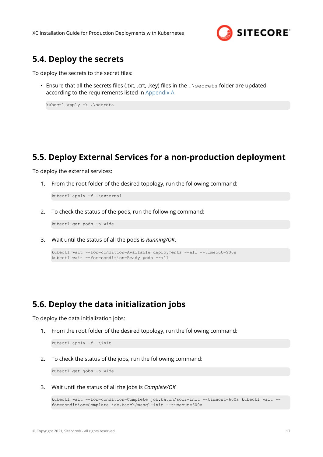

### <span id="page-16-0"></span>**5.4. Deploy the secrets**

To deploy the secrets to the secret files:

• Ensure that all the secrets files (.txt, .crt, .key) files in the . \secrets folder are updated according to the requirements listed in [Appendix A](#page-27-0).

```
kubectl apply -k .\secrets
```
### **5.5. Deploy External Services for a non-production deployment**

To deploy the external services:

1. From the root folder of the desired topology, run the following command:

kubectl apply -f .\external

2. To check the status of the pods, run the following command:

kubectl get pods -o wide

3. Wait until the status of all the pods is *Running/OK*.

```
kubectl wait --for=condition=Available deployments --all --timeout=900s
kubectl wait --for=condition=Ready pods --all
```
## **5.6. Deploy the data initialization jobs**

To deploy the data initialization jobs:

1. From the root folder of the desired topology, run the following command:

```
kubectl apply -f .\init
```
2. To check the status of the jobs, run the following command:

kubectl get jobs -o wide

3. Wait until the status of all the jobs is *Complete/OK.*

```
kubectl wait --for=condition=Complete job.batch/solr-init --timeout=600s kubectl wait --
for=condition=Complete job.batch/mssql-init --timeout=600s
```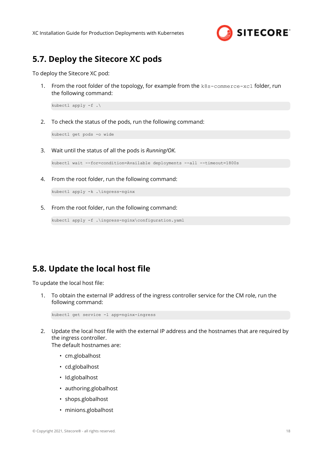

### <span id="page-17-0"></span>**5.7. Deploy the Sitecore XC pods**

To deploy the Sitecore XC pod:

1. From the root folder of the topology, for example from the k8s-commerce-xc1 folder, run the following command:

kubectl apply -f .\

2. To check the status of the pods, run the following command:

kubectl get pods -o wide

3. Wait until the status of all the pods is *Running/OK.*

kubectl wait --for=condition=Available deployments --all --timeout=1800s

4. From the root folder, run the following command:

kubectl apply -k .\ingress-nginx

5. From the root folder, run the following command:

```
kubectl apply -f .\ingress-nginx\configuration.yaml
```
### **5.8. Update the local host file**

To update the local host file:

1. To obtain the external IP address of the ingress controller service for the CM role, run the following command:

```
kubectl get service -l app=nginx-ingress
```
2. Update the local host file with the external IP address and the hostnames that are required by the ingress controller.

The default hostnames are:

- cm.globalhost
- cd.globalhost
- Id.globalhost
- authoring.globalhost
- shops.globalhost
- minions.globalhost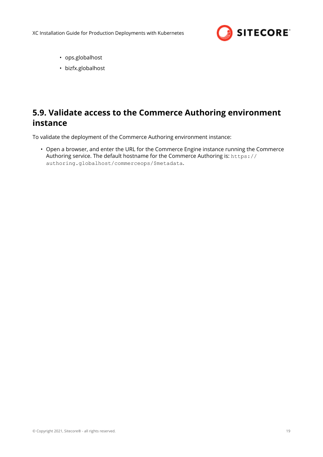

- <span id="page-18-0"></span>• ops.globalhost
- bizfx.globalhost

# **5.9. Validate access to the Commerce Authoring environment instance**

To validate the deployment of the Commerce Authoring environment instance:

• Open a browser, and enter the URL for the Commerce Engine instance running the Commerce Authoring service. The default hostname for the Commerce Authoring is: https:// authoring.globalhost/commerceops/\$metadata.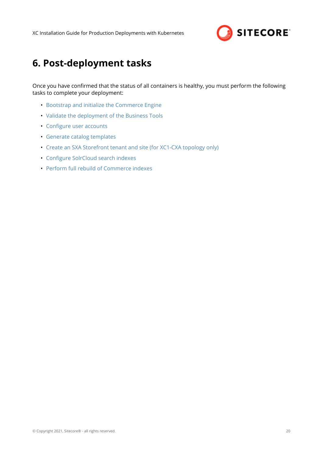

# <span id="page-19-0"></span>**6. Post-deployment tasks**

Once you have confirmed that the status of all containers is healthy, you must perform the following tasks to complete your deployment:

- Bootstrap and initialize the Commerce Engine
- Validate the deployment of the Business Tools
- Configure user accounts
- [Generate catalog templates](#page-24-0)
- [Create an SXA Storefront tenant and site \(for XC1-CXA topology only\)](#page-25-0)
- Configure SolrCloud search indexes
- [Perform full rebuild of Commerce indexes](#page-26-0)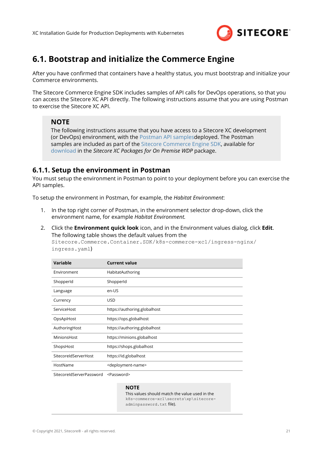

## <span id="page-20-0"></span>**6.1. Bootstrap and initialize the Commerce Engine**

After you have confirmed that containers have a healthy status, you must bootstrap and initialize your Commerce environments.

The Sitecore Commerce Engine SDK includes samples of API calls for DevOps operations, so that you can access the Sitecore XC API directly. The following instructions assume that you are using Postman to exercise the Sitecore XC API.

#### **NOTE**

The following instructions assume that you have access to a Sitecore XC development (or DevOps) environment, with the [Postman API samplesd](https://doc.sitecore.com/developers/100/sitecore-experience-commerce/en/execute-sample-api-calls-in-postman.html)eployed. The Postman samples are included as part of the [Sitecore Commerce Engine SDK](https://doc.sitecore.com/developers/100/sitecore-experience-commerce/en/sitecore-commerce-engine-sdk.html), available for [download](https://dev.sitecore.net/Downloads/Sitecore_Commerce/100/Sitecore_Experience_Commerce_100.aspx) in the *Sitecore XC Packages for On Premise WDP* package.

#### **6.1.1. Setup the environment in Postman**

You must setup the environment in Postman to point to your deployment before you can exercise the API samples.

To setup the environment in Postman, for example, the *Habitat Environment*:

- 1. In the top right corner of Postman, in the environment selector drop-down, click the environment name, for example *Habitat Environment.*
- 2. Click the **Environment quick look** icon, and in the Environment values dialog, click **Edit**. The following table shows the default values from the

Sitecore.Commerce.Container.SDK/k8s-commerce-xc1/ingress-nginx/ ingress.yaml)

| Variable             | <b>Current value</b>                |
|----------------------|-------------------------------------|
| Environment          | HabitatAuthoring                    |
| ShopperId            | ShopperId                           |
| Language             | en-US                               |
| Currency             | <b>USD</b>                          |
| ServiceHost          | https://authoring.globalhost        |
| OpsApiHost           | https://ops.globalhost              |
| AuthoringHost        | https://authoring.globalhost        |
| MinionsHost          | https://minions.globalhost          |
| ShopsHost            | https://shops.globalhost            |
| SitecoreIdServerHost | https://id.globalhost               |
| HostName             | <deployment-name></deployment-name> |

SitecoreIdServerPassword <Password>

#### **NOTE**

This values should match the value used in the k8s-commerce-xc1\secrets\xp\sitecoreadminpassword.txt file).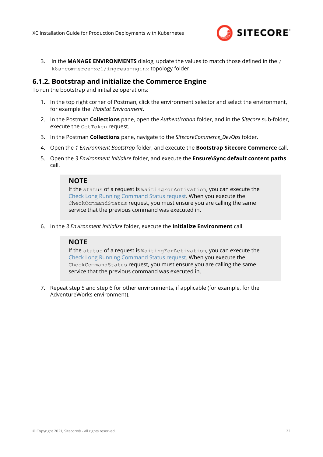

<span id="page-21-0"></span>3. In the **MANAGE ENVIRONMENTS** dialog, update the values to match those defined in the / k8s-commerce-xc1/ingress-nginx topology folder.

#### **6.1.2. Bootstrap and initialize the Commerce Engine**

To run the bootstrap and initialize operations:

- 1. In the top right corner of Postman, click the environment selector and select the environment, for example the *Habitat Environment*.
- 2. In the Postman **Collections** pane, open the *Authentication* folder, and in the *Sitecore* sub-folder, execute the GetToken request.
- 3. In the Postman **Collections** pane, navigate to the *SitecoreCommerce\_DevOps* folder.
- 4. Open the *1 Environment Bootstrap* folder, and execute the **Bootstrap Sitecore Commerce** call.
- 5. Open the *3 Environment Initialize* folder, and execute the **Ensure\Sync default content paths** call.

#### **NOTE**

If the status of a request is WaitingForActivation, you can execute the [Check Long Running Command Status request.](https://doc.sitecore.com/developers/100/sitecore-experience-commerce/en/check-the-status-of-a-long-running-command.html) When you execute the CheckCommandStatus request, you must ensure you are calling the same service that the previous command was executed in.

6. In the *3 Environment Initialize* folder, execute the **Initialize Environment** call.

#### **NOTE**

If the status of a request is WaitingForActivation, you can execute the [Check Long Running Command Status request.](https://doc.sitecore.com/developers/100/sitecore-experience-commerce/en/check-the-status-of-a-long-running-command.html) When you execute the CheckCommandStatus request, you must ensure you are calling the same service that the previous command was executed in.

7. Repeat step 5 and step 6 for other environments, if applicable (for example, for the AdventureWorks environment).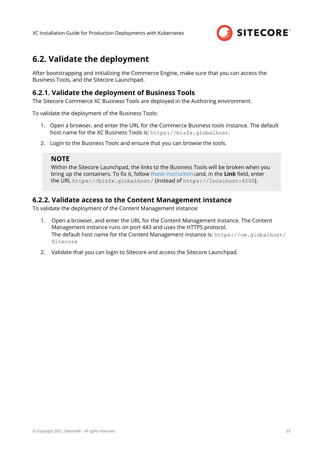

# <span id="page-22-0"></span>**6.2. Validate the deployment**

After bootstrapping and initializing the Commerce Engine, make sure that you can access the Business Tools, and the Sitecore Launchpad.

#### **6.2.1. Validate the deployment of Business Tools**

The Sitecore Commerce XC Business Tools are deployed in the Authoring environment.

To validate the deployment of the Business Tools:

- 1. Open a browser, and enter the URL for the Commerce Business tools instance. The default host name for the XC Business Tools is: https://bizfx.globalhost.
- 2. Login to the Business Tools and ensure that you can browse the tools.

#### **NOTE**

Within the Sitecore Launchpad, the links to the Business Tools will be broken when you bring up the containers. To fix it, follow [these instructions](https://doc.sitecore.com/developers/100/sitecore-experience-commerce/en/change-the-url-to-the-commerce-business-tools.html)and, in the Link field, enter the URL https://bizfx.globalhost/ (instead of https://localhost:4200).

#### **6.2.2. Validate access to the Content Management instance**

To validate the deployment of the Content Management instance:

- 1. Open a browser, and enter the URL for the Content Management instance. The Content Management instance runs on port 443 and uses the HTTPS protocol. The default host name for the Content Management instance is:  $h$ ttos:  $//cm$ .globalhost/ Sitecore
- 2. Validate that you can login to Sitecore and access the Sitecore Launchpad.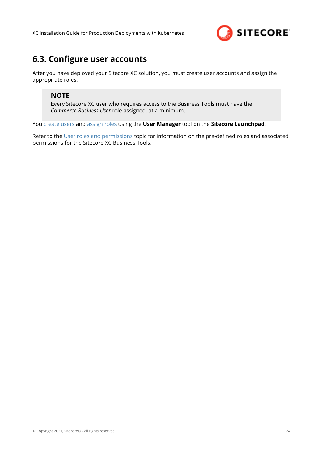

## <span id="page-23-0"></span>**6.3. Configure user accounts**

After you have deployed your Sitecore XC solution, you must create user accounts and assign the appropriate roles.

#### **NOTE**

Every Sitecore XC user who requires access to the Business Tools must have the *Commerce Business User* role assigned, at a minimum.

You [create users](https://doc.sitecore.com/developers/100/platform-administration-and-architecture/en/create-a-user.html) and [assign roles](https://doc.sitecore.com/developers/100/platform-administration-and-architecture/en/add-a-user-to-a-role.html) using the **User Manager** tool on the **Sitecore Launchpad**.

Refer to the [User roles and permissions](https://doc.sitecore.com/developers/100/sitecore-experience-commerce/en/user-roles-and-permissions.html) topic for information on the pre-defined roles and associated permissions for the Sitecore XC Business Tools.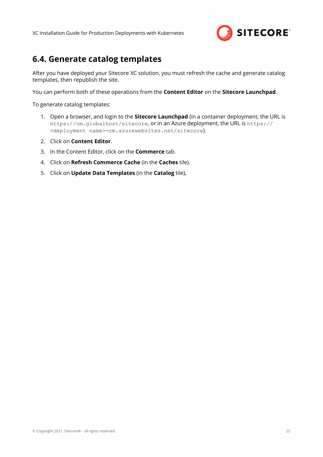

## <span id="page-24-0"></span>**6.4. Generate catalog templates**

After you have deployed your Sitecore XC solution, you must refresh the cache and generate catalog templates, then republish the site.

You can perform both of these operations from the **Content Editor** on the **Sitecore Launchpad**.

To generate catalog templates:

- 1. Open a browser, and login to the **Sitecore Launchpad** (in a container deployment, the URL is https://cm.globalhost/sitecore, or in an Azure deployment, the URL is https:// <deployment name>-cm.azurewebsites.net/sitecore).
- 2. Click on **Content Editor**.
- 3. In the Content Editor, click on the **Commerce** tab.
- 4. Click on **Refresh Commerce Cache** (in the **Caches** tile).
- 5. Click on **Update Data Templates** (in the **Catalog** tile)**.**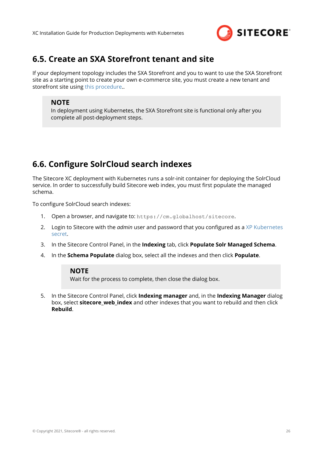

## <span id="page-25-0"></span>**6.5. Create an SXA Storefront tenant and site**

If your deployment topology includes the SXA Storefront and you to want to use the SXA Storefront site as a starting point to create your own e-commerce site, you must create a new tenant and storefront site using [this procedure.](https://doc.sitecore.com/developers/100/sitecore-experience-commerce/en/create-a-commerce-tenant-and-site.html).

#### **NOTE**

In deployment using Kubernetes, the SXA Storefront site is functional only after you complete all post-deployment steps.

# **6.6. Configure SolrCloud search indexes**

The Sitecore XC deployment with Kubernetes runs a solr-init container for deploying the SolrCloud service. In order to successfully build Sitecore web index, you must first populate the managed schema.

To configure SolrCloud search indexes:

- 1. Open a browser, and navigate to: https://cm.globalhost/sitecore.
- 2. Login to Sitecore with the *admin* user and password that you configured as a [XP Kubernetes](#page-27-0) [secret](#page-27-0).
- 3. In the Sitecore Control Panel, in the **Indexing** tab, click **Populate Solr Managed Schema**.
- 4. In the **Schema Populate** dialog box, select all the indexes and then click **Populate**.

#### **NOTE**

Wait for the process to complete, then close the dialog box.

5. In the Sitecore Control Panel, click **Indexing manager** and, in the **Indexing Manager** dialog box, select **sitecore\_web\_index** and other indexes that you want to rebuild and then click **Rebuild**.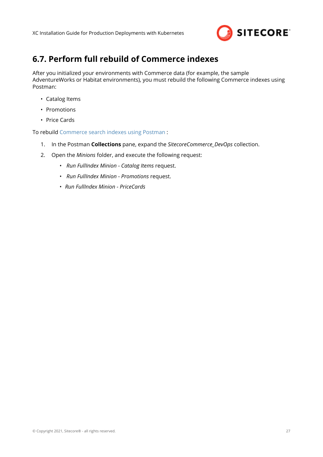

# <span id="page-26-0"></span>**6.7. Perform full rebuild of Commerce indexes**

After you initialized your environments with Commerce data (for example, the sample AdventureWorks or Habitat environments), you must rebuild the following Commerce indexes using Postman:

- Catalog Items
- Promotions
- Price Cards

To rebuild [Commerce search indexes using Postman](https://doc.sitecore.com/developers/100/sitecore-experience-commerce/en/rebuild-a-commerce-search-index-using-postman.html) :

- 1. In the Postman **Collections** pane, expand the *SitecoreCommerce\_DevOps* collection.
- 2. Open the *Minions* folder, and execute the following request:
	- *Run FullIndex Minion Catalog Items* request.
	- *Run FullIndex Minion Promotions* request.
	- *Run FullIndex Minion PriceCards*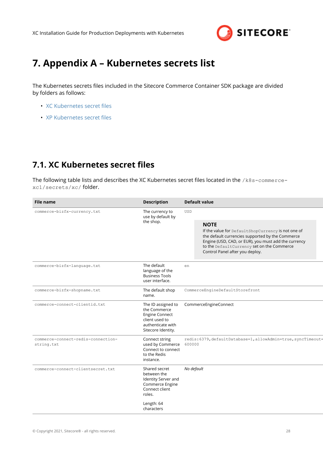

# <span id="page-27-0"></span>**7. Appendix A – Kubernetes secrets list**

The Kubernetes secrets files included in the Sitecore Commerce Container SDK package are divided by folders as follows:

- XC Kubernetes secret files
- XP Kubernetes secret files

# **7.1. XC Kubernetes secret files**

The following table lists and describes the XC Kubernetes secret files located in the /k8s-commercexc1/secrets/xc/ folder.

| <b>File name</b>                                         | <b>Description</b>                                                                                                       | <b>Default value</b>                                                                                                                                                                                                                                           |  |  |
|----------------------------------------------------------|--------------------------------------------------------------------------------------------------------------------------|----------------------------------------------------------------------------------------------------------------------------------------------------------------------------------------------------------------------------------------------------------------|--|--|
| commerce-bizfx-currency.txt                              | The currency to<br>use by default by                                                                                     | <b>USD</b>                                                                                                                                                                                                                                                     |  |  |
|                                                          | the shop.                                                                                                                | <b>NOTE</b><br>If the value for DefaultShopCurrency is not one of<br>the default currencies supported by the Commerce<br>Engine (USD, CAD, or EUR), you must add the currency<br>to the DefaultCurrency set on the Commerce<br>Control Panel after you deploy. |  |  |
| commerce-bizfx-language.txt                              | The default<br>language of the<br><b>Business Tools</b><br>user interface.                                               | en                                                                                                                                                                                                                                                             |  |  |
| The default shop<br>commerce-bizfx-shopname.txt<br>name. |                                                                                                                          | CommerceEngineDefaultStorefront                                                                                                                                                                                                                                |  |  |
| commerce-connect-clientid.txt                            | The ID assigned to<br>the Commerce<br><b>Engine Connect</b><br>client used to<br>authenticate with<br>Sitecore Identity. | CommerceEngineConnect                                                                                                                                                                                                                                          |  |  |
| commerce-connect-redis-connection-<br>string.txt         | Connect string<br>used by Commerce<br>Connect to connect<br>to the Redis<br>instance.                                    | redis:6379, defaultDatabase=1, allowAdmin=true, syncTimeout=<br>600000                                                                                                                                                                                         |  |  |
| commerce-connect-clientsecret.txt                        | Shared secret<br>between the<br>Identity Server and<br>Commerce Engine<br>Connect client<br>roles.                       | No default                                                                                                                                                                                                                                                     |  |  |
|                                                          | Length: 64<br>characters                                                                                                 |                                                                                                                                                                                                                                                                |  |  |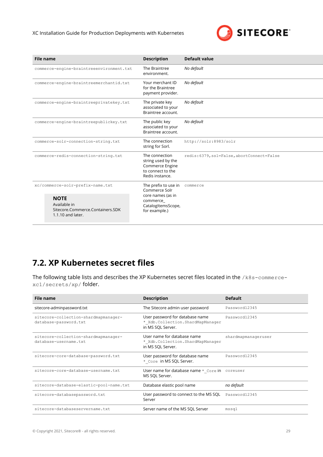

<span id="page-28-0"></span>

| <b>File name</b>                                                                       | <b>Description</b>                                                                              | <b>Default value</b>                       |  |  |
|----------------------------------------------------------------------------------------|-------------------------------------------------------------------------------------------------|--------------------------------------------|--|--|
| commerce-engine-braintreeenvironment.txt                                               | The Braintree<br>environment.                                                                   | No default                                 |  |  |
| commerce-engine-braintreemerchantid.txt                                                | Your merchant ID<br>for the Braintree<br>payment provider.                                      | No default                                 |  |  |
| commerce-engine-braintreeprivatekey.txt                                                | The private key<br>associated to your<br>Braintree account.                                     | No default                                 |  |  |
| commerce-engine-braintreepublickey.txt                                                 | The public key<br>associated to your<br>Braintree account.                                      | No default                                 |  |  |
| commerce-solr-connection-string.txt                                                    | The connection<br>string for Sorl.                                                              | http://solr:8983/solr                      |  |  |
| commerce-redis-connection-string.txt                                                   | The connection<br>string used by the<br>Commerce Engine<br>to connect to the<br>Redis instance. | redis: 6379, ssl=False, abortConnect=False |  |  |
| xc/commerce-solr-prefix-name.txt                                                       | The prefix to use in<br>Commerce Solr                                                           | commerce                                   |  |  |
| <b>NOTE</b><br>Available in<br>Sitecore.Commerce.Containers.SDK<br>$1.1.10$ and later. | core names (as in<br>commerce<br>CatalogItemsScope,<br>for example.)                            |                                            |  |  |

# **7.2. XP Kubernetes secret files**

The following table lists and describes the XP Kubernetes secret files located in the /k8s-commercexc1/secrets/xp/ folder.

| <b>File name</b>                                              | <b>Description</b>                                                                       | <b>Default</b>      |
|---------------------------------------------------------------|------------------------------------------------------------------------------------------|---------------------|
| sitecore-adminpassword.txt                                    | The Sitecore admin user password                                                         | Password12345       |
| sitecore-collection-shardmapmanager-<br>database-password.txt | User password for database name<br>* Xdb.Collection.ShardMapManager<br>in MS SQL Server. | Password12345       |
| sitecore-collection-shardmapmanager-<br>database-username.txt | User name for database name<br>* Xdb.Collection.ShardMapManager<br>in MS SQL Server.     | shardmapmanageruser |
| sitecore-core-database-password.txt                           | User password for database name<br>* Core in MS SQL Server.                              | Password12345       |
| sitecore-core-database-username.txt                           | User name for database name * _Core in coreuser<br>MS SQL Server.                        |                     |
| sitecore-database-elastic-pool-name.txt                       | Database elastic pool name                                                               | no default          |
| sitecore-databasepassword.txt                                 | User password to connect to the MS SQL<br>Server                                         | Password12345       |
| sitecore-databaseservername.txt                               | Server name of the MS SQL Server                                                         | mssql               |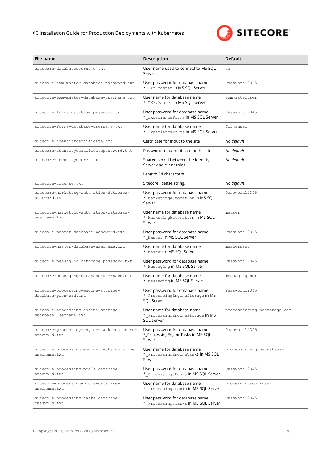#### XC Installation Guide for Production Deployments with Kubernetes



| <b>File name</b>                                             | <b>Description</b>                                                                  | <b>Default</b>              |
|--------------------------------------------------------------|-------------------------------------------------------------------------------------|-----------------------------|
| sitecore-databaseusername.txt                                | User name used to connect to MS SQL<br>Server                                       | sa                          |
| sitecore-exm-master-database-password.txt                    | User password for database name<br>* EXM. Master in MS SQL Server                   | Password12345               |
| sitecore-exm-master-database-username.txt                    | User name for database name<br>* EXM. Master in MS SQL Server                       | exmmasteruser               |
| sitecore-forms-database-password.txt                         | User password for database name<br>* ExperienceForms in MS SQL Server               | Password12345               |
| sitecore-forms-database-username.txt                         | User name for database name<br>* ExperienceForms in MS SQL Server                   | formsuser                   |
| sitecore-identitycertificate.txt                             | Certificate for input to the site                                                   | No default                  |
| sitecore-identitycertificatepassword.txt                     | Password to authenticate to the site.                                               | No default                  |
| sitecore-identitysecret.txt                                  | Shared secret between the Identity<br>Server and client roles.                      | No default                  |
|                                                              | Length: 64 characters                                                               |                             |
| sitecore-license.txt                                         | Sitecore license string.                                                            | No default                  |
| sitecore-marketing-automation-database-<br>password.txt      | User password for database name<br>*_MarketingAutomation in MS SQL<br>Server        | Password12345               |
| sitecore-marketing-automation-database-<br>username.txt      | User name for database name<br>* MarketingAutomation in MS SQL<br>Server            | mauser                      |
| sitecore-master-database-password.txt                        | User password for database name<br>* Master in MS SQL Server                        | Password12345               |
| sitecore-master-database-username.txt                        | User name for database name<br>* Master in MS SQL Server                            | masteruser                  |
| sitecore-messaging-database-password.txt                     | User password for database name<br>* Messaging in MS SQL Server                     | Password12345               |
| sitecore-messaging-database-username.txt                     | User name for database name<br>* Messaging in MS SQL Server                         | messaginguser               |
| sitecore-processing-engine-storage-<br>database-password.txt | User password for database name<br>* ProcessingEngineStorage in MS<br>SQL Server    | Password12345               |
| sitecore-processing-engine-storage-<br>database-username.txt | User name for database name<br>* ProcessingEngineStorage in MS<br><b>SOL Server</b> | processingenginestorageuser |
| sitecore-processing-engine-tasks-database-<br>password.txt   | User password for database name<br>*_ProcessingEngineTasks in MS SQL<br>Server      | Password12345               |
| sitecore-processing-engine-tasks-database-<br>username.txt   | User name for database name<br>* ProcessingEngineTaskS in MS SQL<br>Serve           | processingenginetasksuser   |
| sitecore-processing-pools-database-<br>password.txt          | User password for database name<br>* Processing. Pools in MS SQL Server             | Password12345               |
| sitecore-processing-pools-database-<br>username.txt          | User name for database name<br>* Processing. Pools in MS SQL Server                 | processingpoolsuser         |
| sitecore-processing-tasks-database-<br>password.txt          | User password for database name<br>* Processing. Tasks in MS SQL Server             | Password12345               |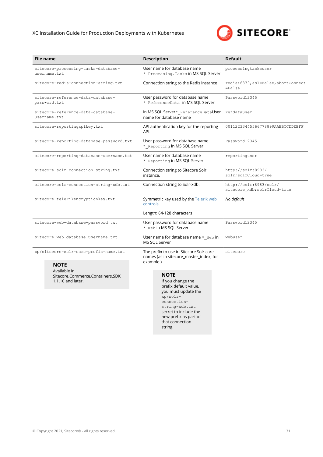#### XC Installation Guide for Production Deployments with Kubernetes



|                                                     | File name                                                               | <b>Description</b>                                                                                                                                                                                            | <b>Default</b>                                         |
|-----------------------------------------------------|-------------------------------------------------------------------------|---------------------------------------------------------------------------------------------------------------------------------------------------------------------------------------------------------------|--------------------------------------------------------|
| sitecore-processing-tasks-database-<br>username.txt |                                                                         | User name for database name<br>* Processing. Tasks in MS SQL Server                                                                                                                                           | processingtasksuser                                    |
| sitecore-redis-connection-string.txt                |                                                                         | Connection string to the Redis instance                                                                                                                                                                       | redis: 6379, ssl=False, abortConnect<br>$= False$      |
|                                                     | sitecore-reference-data-database-<br>password.txt                       | User password for database name<br>* ReferenceData in MS SQL Server                                                                                                                                           | Password12345                                          |
|                                                     | sitecore-reference-data-database-<br>username.txt                       | in MS SQL Server* ReferenceDataUser<br>name for database name                                                                                                                                                 | refdatauser                                            |
|                                                     | sitecore-reportingapikey.txt                                            | API authentication key for the reporting<br>API.                                                                                                                                                              | 00112233445566778899AABBCCDDEEFF                       |
|                                                     | sitecore-reporting-database-password.txt                                | User password for database name<br>* Reporting in MS SQL Server                                                                                                                                               | Password12345                                          |
|                                                     | sitecore-reporting-database-username.txt                                | User name for database name<br>*_Reporting in MS SQL Server                                                                                                                                                   | reportinguser                                          |
|                                                     | sitecore-solr-connection-string.txt                                     | Connection string to Sitecore Solr<br>instance.                                                                                                                                                               | http://solr:8983/<br>solr; solrCloud=true              |
|                                                     | sitecore-solr-connection-string-xdb.txt                                 | Connection string to Solr-xdb.                                                                                                                                                                                | http://solr:8983/solr/<br>sitecore xdb; solrCloud=true |
|                                                     | sitecore-telerikencryptionkey.txt                                       | Symmetric key used by the Telerik web<br>controls.                                                                                                                                                            | No default                                             |
|                                                     |                                                                         | Length: 64-128 characters                                                                                                                                                                                     |                                                        |
|                                                     | sitecore-web-database-password.txt                                      | User password for database name<br>* Web in MS SQL Server                                                                                                                                                     | Password12345                                          |
|                                                     | sitecore-web-database-username.txt                                      | User name for database name $*$ web in<br>MS SQL Server                                                                                                                                                       | webuser                                                |
| xp/sitecore-solr-core-prefix-name.txt               |                                                                         | The prefix to use in Sitecore Solr core<br>names (as in sitecore_master_index, for                                                                                                                            | sitecore                                               |
|                                                     | <b>NOTE</b>                                                             | example.)                                                                                                                                                                                                     |                                                        |
|                                                     | Available in<br>Sitecore.Commerce.Containers.SDK<br>$1.1.10$ and later. | <b>NOTE</b><br>If you change the<br>prefix default value,<br>you must update the<br>xp/solr-<br>connection-<br>string-xdb.txt<br>secret to include the<br>new prefix as part of<br>that connection<br>string. |                                                        |
|                                                     |                                                                         |                                                                                                                                                                                                               |                                                        |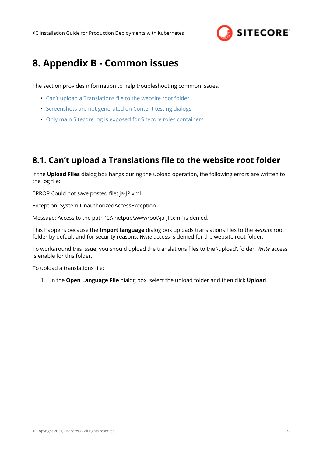

# <span id="page-31-0"></span>**8. Appendix B - Common issues**

The section provides information to help troubleshooting common issues.

- Can't upload a Translations file to the website root folder
- [Screenshots are not generated on Content testing dialogs](#page-32-0)
- [Only main Sitecore log is exposed for Sitecore roles containers](#page-33-0)

### **8.1. Can't upload a Translations file to the website root folder**

If the **Upload Files** dialog box hangs during the upload operation, the following errors are written to the log file:

ERROR Could not save posted file: ja-JP.xml

Exception: System.UnauthorizedAccessException

Message: Access to the path 'C:\inetpub\wwwroot\ja-JP.xml' is denied.

This happens because the **Import language** dialog box uploads translations ȴles to the *website* root folder by default and for security reasons, *Write* access is denied for the website root folder.

To workaround this issue, you should upload the translations files to the \upload\ folder. Write access is enable for this folder.

To upload a translations file:

1. In the **Open Language File** dialog box, select the upload folder and then click **Upload**.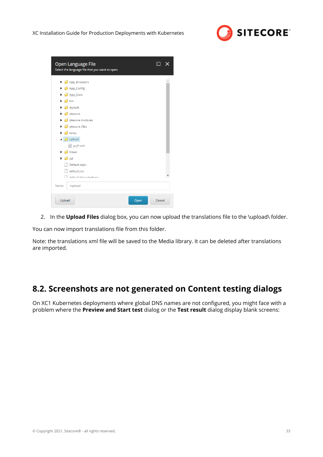

<span id="page-32-0"></span>

| Open Language File<br>Select the language file that you want to open.                                    |                |
|----------------------------------------------------------------------------------------------------------|----------------|
| App_Browsers                                                                                             |                |
| $\triangleright$ $\blacksquare$ App_Config<br>$\triangleright$ $\blacksquare$ App_Data                   |                |
| $\triangleright$ $\blacksquare$ bin<br>$\triangleright$ $\blacksquare$ layouts                           |                |
| $\blacktriangleright$ $\blacktriangleright$ sitecore<br>$\triangleright$ $\blacksquare$ sitecore modules |                |
| $\triangleright$ sitecore_files<br>$\triangleright$ $\blacksquare$ temp                                  |                |
| $\triangleleft$ upload<br><sup>o</sup> ja-JP.xml                                                         |                |
| $\triangleright$ $\blacksquare$ Views<br>$\triangleright$ $\blacksquare$ xsl                             |                |
| Default.aspx<br>default.css                                                                              |                |
| And a default htm citadown                                                                               |                |
| /upload<br>Name:                                                                                         |                |
| Upload                                                                                                   | Cancel<br>Open |

2. In the **Upload Files** dialog box, you can now upload the translations file to the \upload\ folder.

You can now import translations file from this folder.

Note: the translations xml file will be saved to the Media library. It can be deleted after translations are imported.

### **8.2. Screenshots are not generated on Content testing dialogs**

On XC1 Kubernetes deployments where global DNS names are not configured, you might face with a problem where the **Preview and Start test** dialog or the **Test result** dialog display blank screens: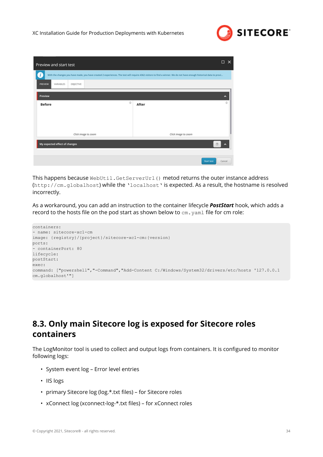

<span id="page-33-0"></span>

| Preview and start test            | $\Box$<br>$\times$                                                                                                                                                   |
|-----------------------------------|----------------------------------------------------------------------------------------------------------------------------------------------------------------------|
|                                   | With the changes you have made, you have created 2 experiences. The test will require 4362 visitors to find a winner. We do not have enough historical data to provi |
| VARIABLES<br>OBJECTIVE<br>PREVIEW |                                                                                                                                                                      |
| Preview                           | ۸                                                                                                                                                                    |
| $\oplus$<br><b>Before</b>         | $\oplus$<br>After                                                                                                                                                    |
|                                   |                                                                                                                                                                      |
|                                   |                                                                                                                                                                      |
| Click image to zoom               | Click image to zoom                                                                                                                                                  |
| My expected effect of changes     | $^{\circ}$                                                                                                                                                           |
|                                   |                                                                                                                                                                      |
|                                   | Start test<br>Cancel                                                                                                                                                 |

This happens because WebUtil.GetServerUrl() metod returns the outer instance address (http://cm.globalhost) while the 'localhost' is expected. As a result, the hostname is resolved incorrectly.

As a workaround, you can add an instruction to the container lifecycle *PostStart* hook, which adds a record to the hosts file on the pod start as shown below to  $cm$ .  $yam1$  file for cm role:

```
containers:
- name: sitecore-xc1-cm
image: {registry}/{project}/sitecore-xc1-cm:{version}
ports:
 - containerPort: 80
lifecycle:
postStart:
exec:
command: ["powershell","-Command","Add-Content C:/Windows/System32/drivers/etc/hosts '127.0.0.1 
cm.globalhost'"]
```
## **8.3. Only main Sitecore log is exposed for Sitecore roles containers**

The LogMonitor tool is used to collect and output logs from containers. It is configured to monitor following logs:

- System event log Error level entries
- IIS logs
- primary Sitecore log (log.\*.txt files) for Sitecore roles
- xConnect log (xconnect-log-\*.txt files) for xConnect roles